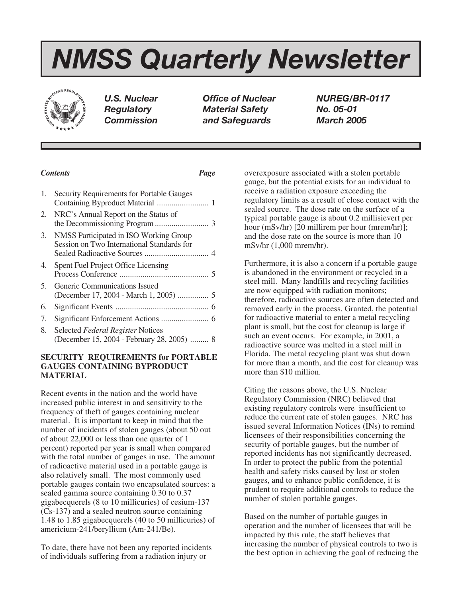# *NMSS Quarterly Newsletter*



*U.S. Nuclear Office of Nuclear NUREG/BR-0117 Regulatory Material Safety No. 05-01 Commission and Safeguards March 2005*

## *Contents Page*

| 1. | Security Requirements for Portable Gauges                                            |  |
|----|--------------------------------------------------------------------------------------|--|
|    | 2. NRC's Annual Report on the Status of                                              |  |
| 3. | NMSS Participated in ISO Working Group<br>Session on Two International Standards for |  |
| 4. | Spent Fuel Project Office Licensing                                                  |  |
| 5. | Generic Communications Issued                                                        |  |
| 6. |                                                                                      |  |
| 7. |                                                                                      |  |
| 8. | Selected Federal Register Notices<br>(December 15, 2004 - February 28, 2005)  8      |  |

## **SECURITY REQUIREMENTS for PORTABLE GAUGES CONTAINING BYPRODUCT MATERIAL**

Recent events in the nation and the world have increased public interest in and sensitivity to the frequency of theft of gauges containing nuclear material. It is important to keep in mind that the number of incidents of stolen gauges (about 50 out of about 22,000 or less than one quarter of 1 percent) reported per year is small when compared with the total number of gauges in use. The amount of radioactive material used in a portable gauge is also relatively small. The most commonly used portable gauges contain two encapsulated sources: a sealed gamma source containing 0.30 to 0.37 gigabecquerels (8 to 10 millicuries) of cesium-137 (Cs-137) and a sealed neutron source containing 1.48 to 1.85 gigabecquerels (40 to 50 millicuries) of americium-241/beryllium (Am-241/Be).

To date, there have not been any reported incidents of individuals suffering from a radiation injury or

overexposure associated with a stolen portable gauge, but the potential exists for an individual to receive a radiation exposure exceeding the regulatory limits as a result of close contact with the sealed source. The dose rate on the surface of a typical portable gauge is about 0.2 millisievert per hour (mSv/hr) [20 millirem per hour (mrem/hr)]; and the dose rate on the source is more than 10 mSv/hr (1,000 mrem/hr).

Furthermore, it is also a concern if a portable gauge is abandoned in the environment or recycled in a steel mill. Many landfills and recycling facilities are now equipped with radiation monitors; therefore, radioactive sources are often detected and removed early in the process. Granted, the potential for radioactive material to enter a metal recycling plant is small, but the cost for cleanup is large if such an event occurs. For example, in 2001, a radioactive source was melted in a steel mill in Florida. The metal recycling plant was shut down for more than a month, and the cost for cleanup was more than \$10 million.

Citing the reasons above, the U.S. Nuclear Regulatory Commission (NRC) believed that existing regulatory controls were insufficient to reduce the current rate of stolen gauges. NRC has issued several Information Notices (INs) to remind licensees of their responsibilities concerning the security of portable gauges, but the number of reported incidents has not significantly decreased. In order to protect the public from the potential health and safety risks caused by lost or stolen gauges, and to enhance public confidence, it is prudent to require additional controls to reduce the number of stolen portable gauges.

Based on the number of portable gauges in operation and the number of licensees that will be impacted by this rule, the staff believes that increasing the number of physical controls to two is the best option in achieving the goal of reducing the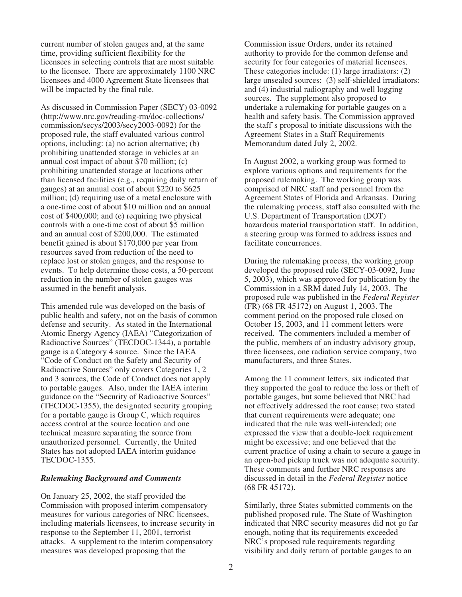current number of stolen gauges and, at the same time, providing sufficient flexibility for the licensees in selecting controls that are most suitable to the licensee. There are approximately 1100 NRC licensees and 4000 Agreement State licensees that will be impacted by the final rule.

As discussed in Commission Paper (SECY) 03-0092 (http://www.nrc.gov/reading-rm/doc-collections/ commission/secys/2003/secy2003-0092) for the proposed rule, the staff evaluated various control options, including: (a) no action alternative; (b) prohibiting unattended storage in vehicles at an annual cost impact of about \$70 million; (c) prohibiting unattended storage at locations other than licensed facilities (e.g., requiring daily return of gauges) at an annual cost of about \$220 to \$625 million; (d) requiring use of a metal enclosure with a one-time cost of about \$10 million and an annual cost of \$400,000; and (e) requiring two physical controls with a one-time cost of about \$5 million and an annual cost of \$200,000. The estimated benefit gained is about \$170,000 per year from resources saved from reduction of the need to replace lost or stolen gauges, and the response to events. To help determine these costs, a 50-percent reduction in the number of stolen gauges was assumed in the benefit analysis.

This amended rule was developed on the basis of public health and safety, not on the basis of common defense and security. As stated in the International Atomic Energy Agency (IAEA) "Categorization of Radioactive Sources" (TECDOC-1344), a portable gauge is a Category 4 source. Since the IAEA "Code of Conduct on the Safety and Security of Radioactive Sources" only covers Categories 1, 2 and 3 sources, the Code of Conduct does not apply to portable gauges. Also, under the IAEA interim guidance on the "Security of Radioactive Sources" (TECDOC-1355), the designated security grouping for a portable gauge is Group C, which requires access control at the source location and one technical measure separating the source from unauthorized personnel. Currently, the United States has not adopted IAEA interim guidance TECDOC-1355.

#### *Rulemaking Background and Comments*

On January 25, 2002, the staff provided the Commission with proposed interim compensatory measures for various categories of NRC licensees, including materials licensees, to increase security in response to the September 11, 2001, terrorist attacks. A supplement to the interim compensatory measures was developed proposing that the

Commission issue Orders, under its retained authority to provide for the common defense and security for four categories of material licensees. These categories include: (1) large irradiators: (2) large unsealed sources: (3) self-shielded irradiators: and (4) industrial radiography and well logging sources. The supplement also proposed to undertake a rulemaking for portable gauges on a health and safety basis. The Commission approved the staff's proposal to initiate discussions with the Agreement States in a Staff Requirements Memorandum dated July 2, 2002.

In August 2002, a working group was formed to explore various options and requirements for the proposed rulemaking. The working group was comprised of NRC staff and personnel from the Agreement States of Florida and Arkansas. During the rulemaking process, staff also consulted with the U.S. Department of Transportation (DOT) hazardous material transportation staff. In addition, a steering group was formed to address issues and facilitate concurrences.

During the rulemaking process, the working group developed the proposed rule (SECY-03-0092, June 5, 2003), which was approved for publication by the Commission in a SRM dated July 14, 2003. The proposed rule was published in the *Federal Register* (FR) (68 FR 45172) on August 1, 2003. The comment period on the proposed rule closed on October 15, 2003, and 11 comment letters were received. The commenters included a member of the public, members of an industry advisory group, three licensees, one radiation service company, two manufacturers, and three States.

Among the 11 comment letters, six indicated that they supported the goal to reduce the loss or theft of portable gauges, but some believed that NRC had not effectively addressed the root cause; two stated that current requirements were adequate; one indicated that the rule was well-intended; one expressed the view that a double-lock requirement might be excessive; and one believed that the current practice of using a chain to secure a gauge in an open-bed pickup truck was not adequate security. These comments and further NRC responses are discussed in detail in the *Federal Register* notice (68 FR 45172).

Similarly, three States submitted comments on the published proposed rule. The State of Washington indicated that NRC security measures did not go far enough, noting that its requirements exceeded NRC's proposed rule requirements regarding visibility and daily return of portable gauges to an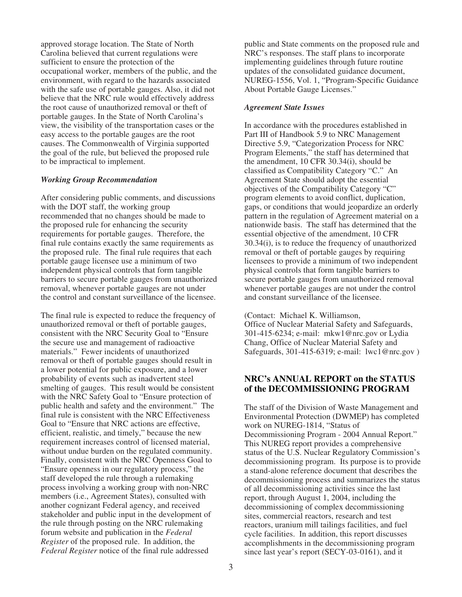approved storage location. The State of North Carolina believed that current regulations were sufficient to ensure the protection of the occupational worker, members of the public, and the environment, with regard to the hazards associated with the safe use of portable gauges. Also, it did not believe that the NRC rule would effectively address the root cause of unauthorized removal or theft of portable gauges. In the State of North Carolina's view, the visibility of the transportation cases or the easy access to the portable gauges are the root causes. The Commonwealth of Virginia supported the goal of the rule, but believed the proposed rule to be impractical to implement.

#### *Working Group Recommendation*

After considering public comments, and discussions with the DOT staff, the working group recommended that no changes should be made to the proposed rule for enhancing the security requirements for portable gauges. Therefore, the final rule contains exactly the same requirements as the proposed rule. The final rule requires that each portable gauge licensee use a minimum of two independent physical controls that form tangible barriers to secure portable gauges from unauthorized removal, whenever portable gauges are not under the control and constant surveillance of the licensee.

The final rule is expected to reduce the frequency of unauthorized removal or theft of portable gauges, consistent with the NRC Security Goal to "Ensure the secure use and management of radioactive materials." Fewer incidents of unauthorized removal or theft of portable gauges should result in a lower potential for public exposure, and a lower probability of events such as inadvertent steel smelting of gauges. This result would be consistent with the NRC Safety Goal to "Ensure protection of public health and safety and the environment." The final rule is consistent with the NRC Effectiveness Goal to "Ensure that NRC actions are effective, efficient, realistic, and timely," because the new requirement increases control of licensed material, without undue burden on the regulated community. Finally, consistent with the NRC Openness Goal to "Ensure openness in our regulatory process," the staff developed the rule through a rulemaking process involving a working group with non-NRC members (i.e., Agreement States), consulted with another cognizant Federal agency, and received stakeholder and public input in the development of the rule through posting on the NRC rulemaking forum website and publication in the *Federal Register* of the proposed rule. In addition, the *Federal Register* notice of the final rule addressed

public and State comments on the proposed rule and NRC's responses. The staff plans to incorporate implementing guidelines through future routine updates of the consolidated guidance document, NUREG-1556, Vol. 1, "Program-Specific Guidance About Portable Gauge Licenses."

#### *Agreement State Issues*

In accordance with the procedures established in Part III of Handbook 5.9 to NRC Management Directive 5.9, "Categorization Process for NRC Program Elements," the staff has determined that the amendment, 10 CFR 30.34(i), should be classified as Compatibility Category "C." An Agreement State should adopt the essential objectives of the Compatibility Category "C" program elements to avoid conflict, duplication, gaps, or conditions that would jeopardize an orderly pattern in the regulation of Agreement material on a nationwide basis. The staff has determined that the essential objective of the amendment, 10 CFR 30.34(i), is to reduce the frequency of unauthorized removal or theft of portable gauges by requiring licensees to provide a minimum of two independent physical controls that form tangible barriers to secure portable gauges from unauthorized removal whenever portable gauges are not under the control and constant surveillance of the licensee.

(Contact: Michael K. Williamson, Office of Nuclear Material Safety and Safeguards, 301-415-6234; e-mail: mkw1@nrc.gov or Lydia Chang, Office of Nuclear Material Safety and Safeguards, 301-415-6319; e-mail: lwc1@nrc.gov )

## **NRC's ANNUAL REPORT on the STATUS of the DECOMMISSIONING PROGRAM**

The staff of the Division of Waste Management and Environmental Protection (DWMEP) has completed work on NUREG-1814, "Status of Decommissioning Program - 2004 Annual Report." This NUREG report provides a comprehensive status of the U.S. Nuclear Regulatory Commission's decommissioning program. Its purpose is to provide a stand-alone reference document that describes the decommissioning process and summarizes the status of all decommissioning activities since the last report, through August 1, 2004, including the decommissioning of complex decommissioning sites, commercial reactors, research and test reactors, uranium mill tailings facilities, and fuel cycle facilities. In addition, this report discusses accomplishments in the decommissioning program since last year's report (SECY-03-0161), and it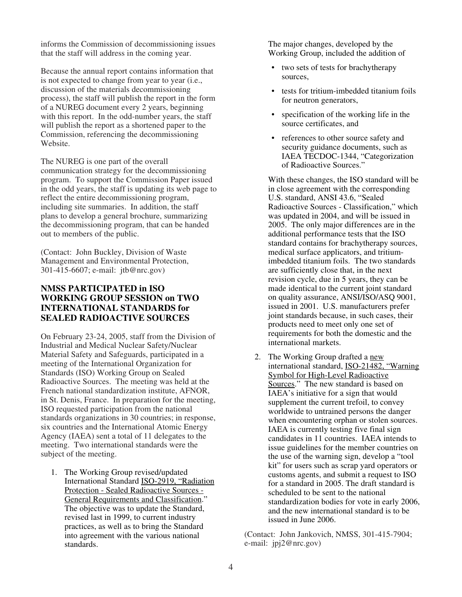informs the Commission of decommissioning issues that the staff will address in the coming year.

Because the annual report contains information that is not expected to change from year to year (i.e., discussion of the materials decommissioning process), the staff will publish the report in the form of a NUREG document every 2 years, beginning with this report. In the odd-number years, the staff will publish the report as a shortened paper to the Commission, referencing the decommissioning Website.

The NUREG is one part of the overall communication strategy for the decommissioning program. To support the Commission Paper issued in the odd years, the staff is updating its web page to reflect the entire decommissioning program, including site summaries. In addition, the staff plans to develop a general brochure, summarizing the decommissioning program, that can be handed out to members of the public.

(Contact: John Buckley, Division of Waste Management and Environmental Protection, 301-415-6607; e-mail: jtb@nrc.gov)

# **NMSS PARTICIPATED in ISO WORKING GROUP SESSION on TWO INTERNATIONAL STANDARDS for SEALED RADIOACTIVE SOURCES**

On February 23-24, 2005, staff from the Division of Industrial and Medical Nuclear Safety/Nuclear Material Safety and Safeguards, participated in a meeting of the International Organization for Standards (ISO) Working Group on Sealed Radioactive Sources. The meeting was held at the French national standardization institute, AFNOR, in St. Denis, France. In preparation for the meeting, ISO requested participation from the national standards organizations in 30 countries; in response, six countries and the International Atomic Energy Agency (IAEA) sent a total of 11 delegates to the meeting. Two international standards were the subject of the meeting.

1. The Working Group revised/updated International Standard ISO-2919, "Radiation Protection - Sealed Radioactive Sources - General Requirements and Classification." The objective was to update the Standard, revised last in 1999, to current industry practices, as well as to bring the Standard into agreement with the various national standards.

The major changes, developed by the Working Group, included the addition of

- two sets of tests for brachytherapy sources,
- tests for tritium-imbedded titanium foils for neutron generators,
- specification of the working life in the source certificates, and
- references to other source safety and security guidance documents, such as IAEA TECDOC-1344, "Categorization of Radioactive Sources."

With these changes, the ISO standard will be in close agreement with the corresponding U.S. standard, ANSI 43.6, "Sealed Radioactive Sources - Classification," which was updated in 2004, and will be issued in 2005. The only major differences are in the additional performance tests that the ISO standard contains for brachytherapy sources, medical surface applicators, and tritiumimbedded titanium foils. The two standards are sufficiently close that, in the next revision cycle, due in 5 years, they can be made identical to the current joint standard on quality assurance, ANSI/ISO/ASQ 9001, issued in 2001. U.S. manufacturers prefer joint standards because, in such cases, their products need to meet only one set of requirements for both the domestic and the international markets.

2. The Working Group drafted a new international standard, ISO-21482, "Warning Symbol for High-Level Radioactive Sources." The new standard is based on IAEA's initiative for a sign that would supplement the current trefoil, to convey worldwide to untrained persons the danger when encountering orphan or stolen sources. IAEA is currently testing five final sign candidates in 11 countries. IAEA intends to issue guidelines for the member countries on the use of the warning sign, develop a "tool kit" for users such as scrap yard operators or customs agents, and submit a request to ISO for a standard in 2005. The draft standard is scheduled to be sent to the national standardization bodies for vote in early 2006, and the new international standard is to be issued in June 2006.

(Contact: John Jankovich, NMSS, 301-415-7904; e-mail: jpj2@nrc.gov)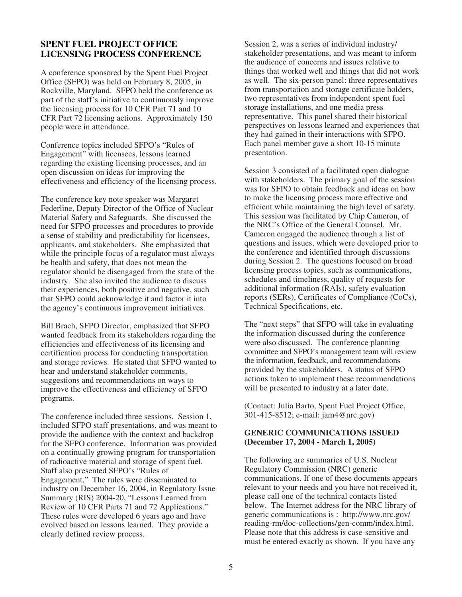## **SPENT FUEL PROJECT OFFICE LICENSING PROCESS CONFERENCE**

A conference sponsored by the Spent Fuel Project Office (SFPO) was held on February 8, 2005, in Rockville, Maryland. SFPO held the conference as part of the staff's initiative to continuously improve the licensing process for 10 CFR Part 71 and 10 CFR Part 72 licensing actions. Approximately 150 people were in attendance.

Conference topics included SFPO's "Rules of Engagement" with licensees, lessons learned regarding the existing licensing processes, and an open discussion on ideas for improving the effectiveness and efficiency of the licensing process.

The conference key note speaker was Margaret Federline, Deputy Director of the Office of Nuclear Material Safety and Safeguards. She discussed the need for SFPO processes and procedures to provide a sense of stability and predictability for licensees, applicants, and stakeholders. She emphasized that while the principle focus of a regulator must always be health and safety, that does not mean the regulator should be disengaged from the state of the industry. She also invited the audience to discuss their experiences, both positive and negative, such that SFPO could acknowledge it and factor it into the agency's continuous improvement initiatives.

Bill Brach, SFPO Director, emphasized that SFPO wanted feedback from its stakeholders regarding the efficiencies and effectiveness of its licensing and certification process for conducting transportation and storage reviews. He stated that SFPO wanted to hear and understand stakeholder comments, suggestions and recommendations on ways to improve the effectiveness and efficiency of SFPO programs.

The conference included three sessions. Session 1 included SFPO staff presentations, and was meant to provide the audience with the context and backdrop for the SFPO conference. Information was provided on a continually growing program for transportation of radioactive material and storage of spent fuel. Staff also presented SFPO's "Rules of Engagement." The rules were disseminated to industry on December 16, 2004, in Regulatory Issue Summary (RIS) 2004-20, "Lessons Learned from Review of 10 CFR Parts 71 and 72 Applications." These rules were developed 6 years ago and have evolved based on lessons learned. They provide a clearly defined review process.

Session 2, was a series of individual industry/ stakeholder presentations, and was meant to inform the audience of concerns and issues relative to things that worked well and things that did not work as well. The six-person panel: three representatives from transportation and storage certificate holders, two representatives from independent spent fuel storage installations, and one media press representative. This panel shared their historical perspectives on lessons learned and experiences that they had gained in their interactions with SFPO. Each panel member gave a short 10-15 minute presentation.

Session 3 consisted of a facilitated open dialogue with stakeholders. The primary goal of the session was for SFPO to obtain feedback and ideas on how to make the licensing process more effective and efficient while maintaining the high level of safety. This session was facilitated by Chip Cameron, of the NRC's Office of the General Counsel. Mr. Cameron engaged the audience through a list of questions and issues, which were developed prior to the conference and identified through discussions during Session 2. The questions focused on broad licensing process topics, such as communications, schedules and timeliness, quality of requests for additional information (RAIs), safety evaluation reports (SERs), Certificates of Compliance (CoCs), Technical Specifications, etc.

The "next steps" that SFPO will take in evaluating the information discussed during the conference were also discussed. The conference planning committee and SFPO's management team will review the information, feedback, and recommendations provided by the stakeholders. A status of SFPO actions taken to implement these recommendations will be presented to industry at a later date.

(Contact: Julia Barto, Spent Fuel Project Office, 301-415-8512; e-mail: jam4@nrc.gov)

#### **GENERIC COMMUNICATIONS ISSUED (December 17, 2004 - March 1, 2005)**

The following are summaries of U.S. Nuclear Regulatory Commission (NRC) generic communications. If one of these documents appears relevant to your needs and you have not received it, please call one of the technical contacts listed below. The Internet address for the NRC library of generic communications is : http://www.nrc.gov/ reading-rm/doc-collections/gen-comm/index.html. Please note that this address is case-sensitive and must be entered exactly as shown. If you have any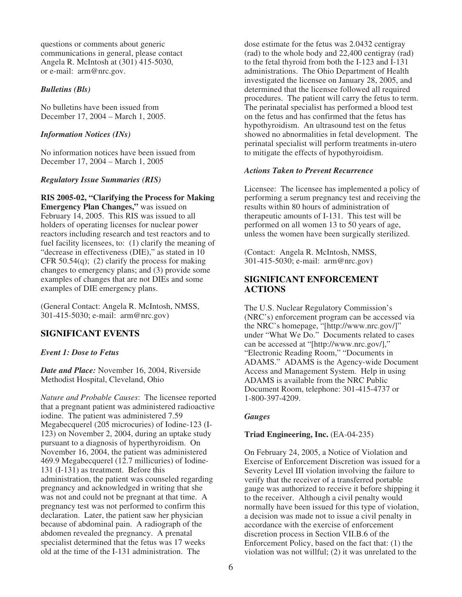questions or comments about generic communications in general, please contact Angela R. McIntosh at (301) 415-5030, or e-mail: arm@nrc.gov.

## *Bulletins (Bls)*

No bulletins have been issued from December 17, 2004 – March 1, 2005.

## *Information Notices (INs)*

No information notices have been issued from December 17, 2004 – March 1, 2005

## *Regulatory Issue Summaries (RIS)*

**RIS 2005-02, "Clarifying the Process for Making Emergency Plan Changes,"** was issued on February 14, 2005. This RIS was issued to all holders of operating licenses for nuclear power reactors including research and test reactors and to fuel facility licensees, to: (1) clarify the meaning of "decrease in effectiveness (DIE)," as stated in 10 CFR 50.54 $(q)$ ; (2) clarify the process for making changes to emergency plans; and (3) provide some examples of changes that are not DIEs and some examples of DIE emergency plans.

(General Contact: Angela R. McIntosh, NMSS, 301-415-5030; e-mail: arm@nrc.gov)

# **SIGNIFICANT EVENTS**

# *Event 1: Dose to Fetus*

*Date and Place:* November 16, 2004, Riverside Methodist Hospital, Cleveland, Ohio

*Nature and Probable Causes*: The licensee reported that a pregnant patient was administered radioactive iodine. The patient was administered 7.59 Megabecquerel (205 microcuries) of Iodine-123 (I-123) on November 2, 2004, during an uptake study pursuant to a diagnosis of hyperthyroidism. On November 16, 2004, the patient was administered 469.9 Megabecquerel (12.7 millicuries) of Iodine-131 (I-131) as treatment. Before this administration, the patient was counseled regarding pregnancy and acknowledged in writing that she was not and could not be pregnant at that time. A pregnancy test was not performed to confirm this declaration. Later, the patient saw her physician because of abdominal pain. A radiograph of the abdomen revealed the pregnancy. A prenatal specialist determined that the fetus was 17 weeks old at the time of the I-131 administration. The

dose estimate for the fetus was 2.0432 centigray (rad) to the whole body and 22,400 centigray (rad) to the fetal thyroid from both the I-123 and I-131 administrations. The Ohio Department of Health investigated the licensee on January 28, 2005, and determined that the licensee followed all required procedures. The patient will carry the fetus to term. The perinatal specialist has performed a blood test on the fetus and has confirmed that the fetus has hypothyroidism. An ultrasound test on the fetus showed no abnormalities in fetal development. The perinatal specialist will perform treatments in-utero to mitigate the effects of hypothyroidism.

## *Actions Taken to Prevent Recurrence*

Licensee: The licensee has implemented a policy of performing a serum pregnancy test and receiving the results within 80 hours of administration of therapeutic amounts of I-131. This test will be performed on all women 13 to 50 years of age, unless the women have been surgically sterilized.

(Contact: Angela R. McIntosh, NMSS, 301-415-5030; e-mail: arm@nrc.gov)

# **SIGNIFICANT ENFORCEMENT ACTIONS**

The U.S. Nuclear Regulatory Commission's (NRC's) enforcement program can be accessed via the NRC's homepage, "[http://www.nrc.gov/]" under "What We Do." Documents related to cases can be accessed at "[http://www.nrc.gov/]," "Electronic Reading Room," "Documents in ADAMS." ADAMS is the Agency-wide Document Access and Management System. Help in using ADAMS is available from the NRC Public Document Room, telephone: 301-415-4737 or 1-800-397-4209.

# *Gauges*

## **Triad Engineering, Inc.** (EA-04-235)

On February 24, 2005, a Notice of Violation and Exercise of Enforcement Discretion was issued for a Severity Level III violation involving the failure to verify that the receiver of a transferred portable gauge was authorized to receive it before shipping it to the receiver. Although a civil penalty would normally have been issued for this type of violation, a decision was made not to issue a civil penalty in accordance with the exercise of enforcement discretion process in Section VII.B.6 of the Enforcement Policy, based on the fact that: (1) the violation was not willful; (2) it was unrelated to the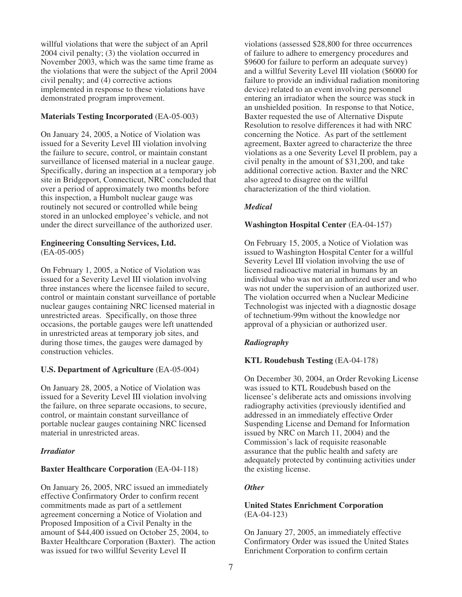willful violations that were the subject of an April 2004 civil penalty; (3) the violation occurred in November 2003, which was the same time frame as the violations that were the subject of the April 2004 civil penalty; and (4) corrective actions implemented in response to these violations have demonstrated program improvement.

# **Materials Testing Incorporated** (EA-05-003)

On January 24, 2005, a Notice of Violation was issued for a Severity Level III violation involving the failure to secure, control, or maintain constant surveillance of licensed material in a nuclear gauge. Specifically, during an inspection at a temporary job site in Bridgeport, Connecticut, NRC concluded that over a period of approximately two months before this inspection, a Humbolt nuclear gauge was routinely not secured or controlled while being stored in an unlocked employee's vehicle, and not under the direct surveillance of the authorized user.

#### **Engineering Consulting Services, Ltd.** (EA-05-005)

On February 1, 2005, a Notice of Violation was issued for a Severity Level III violation involving three instances where the licensee failed to secure, control or maintain constant surveillance of portable nuclear gauges containing NRC licensed material in unrestricted areas. Specifically, on those three occasions, the portable gauges were left unattended in unrestricted areas at temporary job sites, and during those times, the gauges were damaged by construction vehicles.

# **U.S. Department of Agriculture** (EA-05-004)

On January 28, 2005, a Notice of Violation was issued for a Severity Level III violation involving the failure, on three separate occasions, to secure, control, or maintain constant surveillance of portable nuclear gauges containing NRC licensed material in unrestricted areas.

## *Irradiator*

## **Baxter Healthcare Corporation** (EA-04-118)

On January 26, 2005, NRC issued an immediately effective Confirmatory Order to confirm recent commitments made as part of a settlement agreement concerning a Notice of Violation and Proposed Imposition of a Civil Penalty in the amount of \$44,400 issued on October 25, 2004, to Baxter Healthcare Corporation (Baxter). The action was issued for two willful Severity Level II

violations (assessed \$28,800 for three occurrences of failure to adhere to emergency procedures and \$9600 for failure to perform an adequate survey) and a willful Severity Level III violation (\$6000 for failure to provide an individual radiation monitoring device) related to an event involving personnel entering an irradiator when the source was stuck in an unshielded position. In response to that Notice, Baxter requested the use of Alternative Dispute Resolution to resolve differences it had with NRC concerning the Notice. As part of the settlement agreement, Baxter agreed to characterize the three violations as a one Severity Level II problem, pay a civil penalty in the amount of \$31,200, and take additional corrective action. Baxter and the NRC also agreed to disagree on the willful characterization of the third violation.

# *Medical*

## **Washington Hospital Center** (EA-04-157)

On February 15, 2005, a Notice of Violation was issued to Washington Hospital Center for a willful Severity Level III violation involving the use of licensed radioactive material in humans by an individual who was not an authorized user and who was not under the supervision of an authorized user. The violation occurred when a Nuclear Medicine Technologist was injected with a diagnostic dosage of technetium-99m without the knowledge nor approval of a physician or authorized user.

## *Radiography*

## **KTL Roudebush Testing** (EA-04-178)

On December 30, 2004, an Order Revoking License was issued to KTL Roudebush based on the licensee's deliberate acts and omissions involving radiography activities (previously identified and addressed in an immediately effective Order Suspending License and Demand for Information issued by NRC on March 11, 2004) and the Commission's lack of requisite reasonable assurance that the public health and safety are adequately protected by continuing activities under the existing license.

# *Other*

#### **United States Enrichment Corporation** (EA-04-123)

On January 27, 2005, an immediately effective Confirmatory Order was issued the United States Enrichment Corporation to confirm certain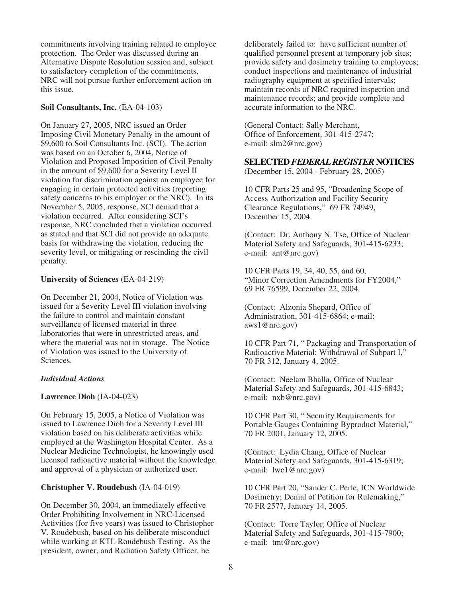commitments involving training related to employee protection. The Order was discussed during an Alternative Dispute Resolution session and, subject to satisfactory completion of the commitments, NRC will not pursue further enforcement action on this issue.

### **Soil Consultants, Inc.** (EA-04-103)

On January 27, 2005, NRC issued an Order Imposing Civil Monetary Penalty in the amount of \$9,600 to Soil Consultants Inc. (SCI). The action was based on an October 6, 2004, Notice of Violation and Proposed Imposition of Civil Penalty in the amount of \$9,600 for a Severity Level II violation for discrimination against an employee for engaging in certain protected activities (reporting safety concerns to his employer or the NRC). In its November 5, 2005, response, SCI denied that a violation occurred. After considering SCI's response, NRC concluded that a violation occurred as stated and that SCI did not provide an adequate basis for withdrawing the violation, reducing the severity level, or mitigating or rescinding the civil penalty.

#### **University of Sciences** (EA-04-219)

On December 21, 2004, Notice of Violation was issued for a Severity Level III violation involving the failure to control and maintain constant surveillance of licensed material in three laboratories that were in unrestricted areas, and where the material was not in storage. The Notice of Violation was issued to the University of Sciences.

## *Individual Actions*

## **Lawrence Dioh** (IA-04-023)

On February 15, 2005, a Notice of Violation was issued to Lawrence Dioh for a Severity Level III violation based on his deliberate activities while employed at the Washington Hospital Center. As a Nuclear Medicine Technologist, he knowingly used licensed radioactive material without the knowledge and approval of a physician or authorized user.

## **Christopher V. Roudebush** (IA-04-019)

On December 30, 2004, an immediately effective Order Prohibiting Involvement in NRC-Licensed Activities (for five years) was issued to Christopher V. Roudebush, based on his deliberate misconduct while working at KTL Roudebush Testing. As the president, owner, and Radiation Safety Officer, he

deliberately failed to: have sufficient number of qualified personnel present at temporary job sites; provide safety and dosimetry training to employees; conduct inspections and maintenance of industrial radiography equipment at specified intervals; maintain records of NRC required inspection and maintenance records; and provide complete and accurate information to the NRC.

(General Contact: Sally Merchant, Office of Enforcement, 301-415-2747; e-mail: slm2@nrc.gov)

# **SELECTED** *FEDERAL REGISTER* **NOTICES**

(December 15, 2004 - February 28, 2005)

10 CFR Parts 25 and 95, "Broadening Scope of Access Authorization and Facility Security Clearance Regulations," 69 FR 74949, December 15, 2004.

(Contact: Dr. Anthony N. Tse, Office of Nuclear Material Safety and Safeguards, 301-415-6233; e-mail: ant@nrc.gov)

10 CFR Parts 19, 34, 40, 55, and 60, "Minor Correction Amendments for FY2004," 69 FR 76599, December 22, 2004.

(Contact: Alzonia Shepard, Office of Administration, 301-415-6864; e-mail: aws1@nrc.gov)

10 CFR Part 71, " Packaging and Transportation of Radioactive Material; Withdrawal of Subpart I," 70 FR 312, January 4, 2005.

(Contact: Neelam Bhalla, Office of Nuclear Material Safety and Safeguards, 301-415-6843; e-mail: nxb@nrc.gov)

10 CFR Part 30, " Security Requirements for Portable Gauges Containing Byproduct Material," 70 FR 2001, January 12, 2005.

(Contact: Lydia Chang, Office of Nuclear Material Safety and Safeguards, 301-415-6319; e-mail: lwc1@nrc.gov)

10 CFR Part 20, "Sander C. Perle, ICN Worldwide Dosimetry; Denial of Petition for Rulemaking," 70 FR 2577, January 14, 2005.

(Contact: Torre Taylor, Office of Nuclear Material Safety and Safeguards, 301-415-7900; e-mail: tmt@nrc.gov)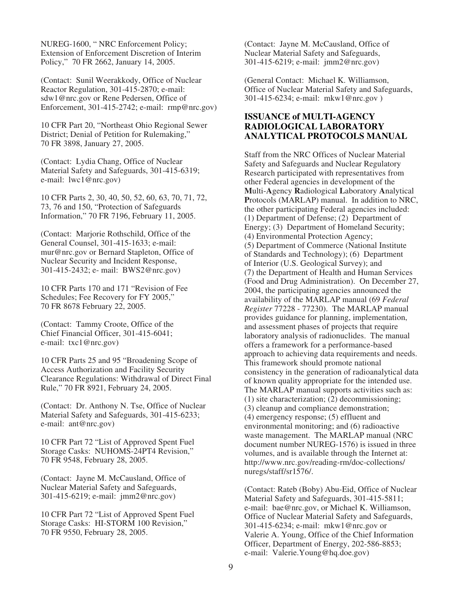NUREG-1600, " NRC Enforcement Policy; Extension of Enforcement Discretion of Interim Policy," 70 FR 2662, January 14, 2005.

(Contact: Sunil Weerakkody, Office of Nuclear Reactor Regulation, 301-415-2870; e-mail: sdw1@nrc.gov or Rene Pedersen, Office of Enforcement, 301-415-2742; e-mail: rmp@nrc.gov)

10 CFR Part 20, "Northeast Ohio Regional Sewer District; Denial of Petition for Rulemaking," 70 FR 3898, January 27, 2005.

(Contact: Lydia Chang, Office of Nuclear Material Safety and Safeguards, 301-415-6319; e-mail: lwc1@nrc.gov)

10 CFR Parts 2, 30, 40, 50, 52, 60, 63, 70, 71, 72, 73, 76 and 150, "Protection of Safeguards Information," 70 FR 7196, February 11, 2005.

(Contact: Marjorie Rothschild, Office of the General Counsel, 301-415-1633; e-mail: mur@nrc.gov or Bernard Stapleton, Office of Nuclear Security and Incident Response, 301-415-2432; e- mail: BWS2@nrc.gov)

10 CFR Parts 170 and 171 "Revision of Fee Schedules; Fee Recovery for FY 2005," 70 FR 8678 February 22, 2005.

(Contact: Tammy Croote, Office of the Chief Financial Officer, 301-415-6041; e-mail: txc1@nrc.gov)

10 CFR Parts 25 and 95 "Broadening Scope of Access Authorization and Facility Security Clearance Regulations: Withdrawal of Direct Final Rule," 70 FR 8921, February 24, 2005.

(Contact: Dr. Anthony N. Tse, Office of Nuclear Material Safety and Safeguards, 301-415-6233; e-mail: ant@nrc.gov)

10 CFR Part 72 "List of Approved Spent Fuel Storage Casks: NUHOMS-24PT4 Revision," 70 FR 9548, February 28, 2005.

(Contact: Jayne M. McCausland, Office of Nuclear Material Safety and Safeguards, 301-415-6219; e-mail: jmm2@nrc.gov)

10 CFR Part 72 "List of Approved Spent Fuel Storage Casks: HI-STORM 100 Revision," 70 FR 9550, February 28, 2005.

(Contact: Jayne M. McCausland, Office of Nuclear Material Safety and Safeguards, 301-415-6219; e-mail: jmm2@nrc.gov)

(General Contact: Michael K. Williamson, Office of Nuclear Material Safety and Safeguards, 301-415-6234; e-mail: mkw1@nrc.gov )

## **ISSUANCE of MULTI-AGENCY RADIOLOGICAL LABORATORY ANALYTICAL PROTOCOLS MANUAL**

Staff from the NRC Offices of Nuclear Material Safety and Safeguards and Nuclear Regulatory Research participated with representatives from other Federal agencies in development of the **M**ulti-**A**gency **R**adiological **L**aboratory **A**nalytical **P**rotocols (MARLAP) manual. In addition to NRC, the other participating Federal agencies included: (1) Department of Defense; (2) Department of Energy; (3) Department of Homeland Security; (4) Environmental Protection Agency; (5) Department of Commerce (National Institute of Standards and Technology); (6) Department of Interior (U.S. Geological Survey); and (7) the Department of Health and Human Services (Food and Drug Administration). On December 27, 2004, the participating agencies announced the availability of the MARLAP manual (69 *Federal Register* 77228 - 77230). The MARLAP manual provides guidance for planning, implementation, and assessment phases of projects that require laboratory analysis of radionuclides. The manual offers a framework for a performance-based approach to achieving data requirements and needs. This framework should promote national consistency in the generation of radioanalytical data of known quality appropriate for the intended use. The MARLAP manual supports activities such as: (1) site characterization; (2) decommissioning; (3) cleanup and compliance demonstration; (4) emergency response; (5) effluent and environmental monitoring; and (6) radioactive waste management. The MARLAP manual (NRC document number NUREG-1576) is issued in three volumes, and is available through the Internet at: http://www.nrc.gov/reading-rm/doc-collections/ nuregs/staff/sr1576/.

(Contact: Rateb (Boby) Abu-Eid, Office of Nuclear Material Safety and Safeguards, 301-415-5811; e-mail: bae@nrc.gov, or Michael K. Williamson, Office of Nuclear Material Safety and Safeguards, 301-415-6234; e-mail: mkw1@nrc.gov or Valerie A. Young, Office of the Chief Information Officer, Department of Energy, 202-586-8853; e-mail: Valerie.Young@hq.doe.gov)